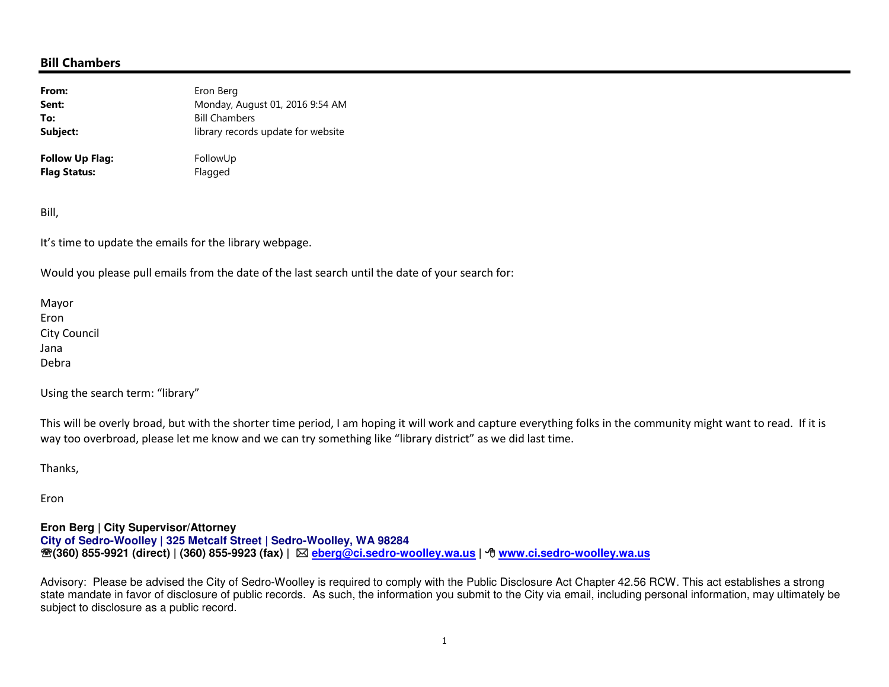## Bill Chambers

| From:           | Eron Berg                          |
|-----------------|------------------------------------|
| Sent:           | Monday, August 01, 2016 9:54 AM    |
| To:             | <b>Bill Chambers</b>               |
| Subject:        | library records update for website |
| Follow Up Flag: | FollowUp                           |
| Flag Status:    | Flagged                            |

Bill,

It's time to update the emails for the library webpage.

Would you please pull emails from the date of the last search until the date of your search for:

Mayor Eron City Council Jana Debra

Using the search term: "library"

This will be overly broad, but with the shorter time period, I am hoping it will work and capture everything folks in the community might want to read. If it is way too overbroad, please let me know and we can try something like "library district" as we did last time.

Thanks,

Eron

**Eron Berg | City Supervisor/Attorney City of Sedro-Woolley | 325 Metcalf Street | Sedro-Woolley, WA 98284**℡**(360) 855-9921 (direct) | (360) 855-9923 (fax) | eberg@ci.sedro-woolley.wa.us |** - **www.ci.sedro-woolley.wa.us**

Advisory: Please be advised the City of Sedro-Woolley is required to comply with the Public Disclosure Act Chapter 42.56 RCW. This act establishes a strong state mandate in favor of disclosure of public records. As such, the information you submit to the City via email, including personal information, may ultimately be subject to disclosure as a public record.